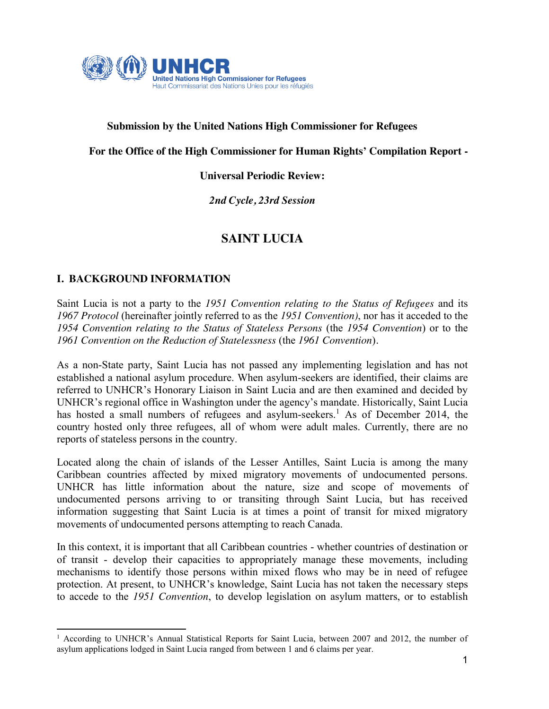

## **Submission by the United Nations High Commissioner for Refugees**

**Submission b**

### **For the Office of the High Commissioner for Human Rights' Compilation Report -**

### **Universal Periodic Review:**

*2nd Cycle, 23rd Session*

# **SAINT LUCIA**

### **I. BACKGROUND INFORMATION**

-

Saint Lucia is not a party to the *1951 Convention relating to the Status of Refugees* and its *1967 Protocol* (hereinafter jointly referred to as the *1951 Convention)*, nor has it acceded to the *1954 Convention relating to the Status of Stateless Persons* (the *1954 Convention*) or to the *1961 Convention on the Reduction of Statelessness* (the *1961 Convention*)*.*

As a non-State party, Saint Lucia has not passed any implementing legislation and has not established a national asylum procedure. When asylum-seekers are identified, their claims are referred to UNHCR's Honorary Liaison in Saint Lucia and are then examined and decided by UNHCR's regional office in Washington under the agency's mandate. Historically, Saint Lucia has hosted a small numbers of refugees and asylum-seekers.<sup>1</sup> As of December 2014, the country hosted only three refugees, all of whom were adult males. Currently, there are no reports of stateless persons in the country.

Located along the chain of islands of the Lesser Antilles, Saint Lucia is among the many Caribbean countries affected by mixed migratory movements of undocumented persons. UNHCR has little information about the nature, size and scope of movements of undocumented persons arriving to or transiting through Saint Lucia, but has received information suggesting that Saint Lucia is at times a point of transit for mixed migratory movements of undocumented persons attempting to reach Canada.

In this context, it is important that all Caribbean countries - whether countries of destination or of transit - develop their capacities to appropriately manage these movements, including mechanisms to identify those persons within mixed flows who may be in need of refugee protection. At present, to UNHCR's knowledge, Saint Lucia has not taken the necessary steps to accede to the *1951 Convention*, to develop legislation on asylum matters, or to establish

<sup>&</sup>lt;sup>1</sup> According to UNHCR's Annual Statistical Reports for Saint Lucia, between 2007 and 2012, the number of asylum applications lodged in Saint Lucia ranged from between 1 and 6 claims per year.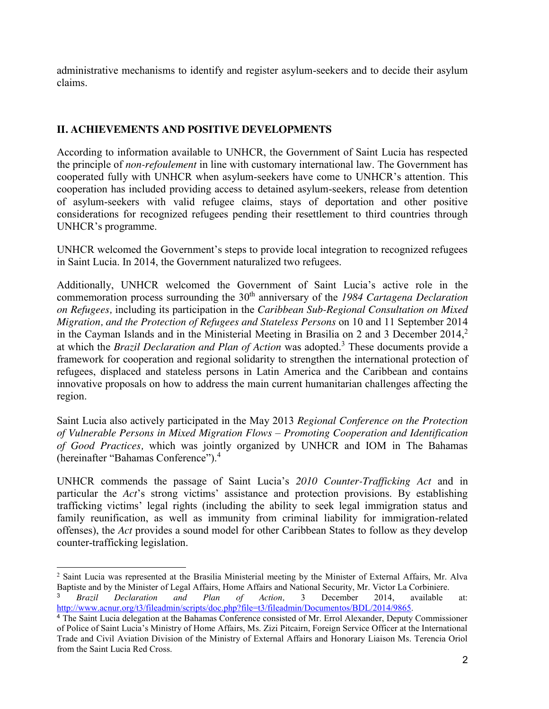administrative mechanisms to identify and register asylum-seekers and to decide their asylum claims.

## **II. ACHIEVEMENTS AND POSITIVE DEVELOPMENTS**

According to information available to UNHCR, the Government of Saint Lucia has respected the principle of *non-refoulement* in line with customary international law. The Government has cooperated fully with UNHCR when asylum-seekers have come to UNHCR's attention. This cooperation has included providing access to detained asylum-seekers, release from detention of asylum-seekers with valid refugee claims, stays of deportation and other positive considerations for recognized refugees pending their resettlement to third countries through UNHCR's programme.

UNHCR welcomed the Government's steps to provide local integration to recognized refugees in Saint Lucia. In 2014, the Government naturalized two refugees.

Additionally, UNHCR welcomed the Government of Saint Lucia's active role in the commemoration process surrounding the 30<sup>th</sup> anniversary of the 1984 Cartagena Declaration *on Refugees,* including its participation in the *Caribbean Sub-Regional Consultation on Mixed Migration, and the Protection of Refugees and Stateless Persons* on 10 and 11 September 2014 in the Cayman Islands and in the Ministerial Meeting in Brasilia on 2 and 3 December 2014, 2 at which the *Brazil Declaration and Plan of Action* was adopted.<sup>3</sup> These documents provide a framework for cooperation and regional solidarity to strengthen the international protection of refugees, displaced and stateless persons in Latin America and the Caribbean and contains innovative proposals on how to address the main current humanitarian challenges affecting the region.

Saint Lucia also actively participated in the May 2013 *Regional Conference on the Protection of Vulnerable Persons in Mixed Migration Flows – Promoting Cooperation and Identification of Good Practices,* which was jointly organized by UNHCR and IOM in The Bahamas (hereinafter "Bahamas Conference").<sup>4</sup>

UNHCR commends the passage of Saint Lucia's *2010 Counter-Trafficking Act* and in particular the *Act*'s strong victims' assistance and protection provisions. By establishing trafficking victims' legal rights (including the ability to seek legal immigration status and family reunification, as well as immunity from criminal liability for immigration-related offenses), the *Act* provides a sound model for other Caribbean States to follow as they develop counter-trafficking legislation.

<sup>-</sup><sup>2</sup> Saint Lucia was represented at the Brasilia Ministerial meeting by the Minister of External Affairs, Mr. Alva Baptiste and by the Minister of Legal Affairs, Home Affairs and National Security, Mr. Victor La Corbiniere.

<sup>3</sup> *Brazil Declaration and Plan of Action,* 3 December 2014, available at: http://www.acnur.org/t3/fileadmin/scripts/doc.php?file=t3/fileadmin/Documentos/BDL/2014/9865.

<sup>4</sup> The Saint Lucia delegation at the Bahamas Conference consisted of Mr. Errol Alexander, Deputy Commissioner of Police of Saint Lucia's Ministry of Home Affairs, Ms. Zizi Pitcairn, Foreign Service Officer at the International Trade and Civil Aviation Division of the Ministry of External Affairs and Honorary Liaison Ms. Terencia Oriol from the Saint Lucia Red Cross.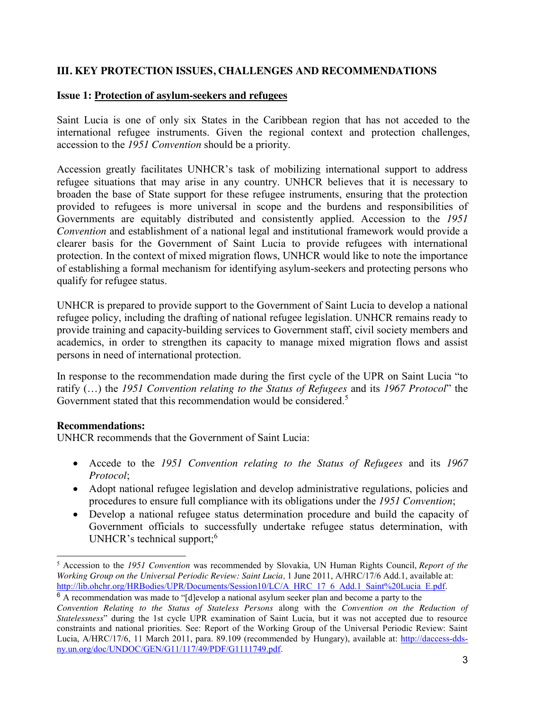## **III. KEY PROTECTION ISSUES, CHALLENGES AND RECOMMENDATIONS**

### **Issue 1: Protection of asylum-seekers and refugees**

Saint Lucia is one of only six States in the Caribbean region that has not acceded to the international refugee instruments. Given the regional context and protection challenges, accession to the *1951 Convention* should be a priority.

Accession greatly facilitates UNHCR's task of mobilizing international support to address refugee situations that may arise in any country. UNHCR believes that it is necessary to broaden the base of State support for these refugee instruments, ensuring that the protection provided to refugees is more universal in scope and the burdens and responsibilities of Governments are equitably distributed and consistently applied. Accession to the *1951 Convention* and establishment of a national legal and institutional framework would provide a clearer basis for the Government of Saint Lucia to provide refugees with international protection. In the context of mixed migration flows, UNHCR would like to note the importance of establishing a formal mechanism for identifying asylum-seekers and protecting persons who qualify for refugee status.

UNHCR is prepared to provide support to the Government of Saint Lucia to develop a national refugee policy, including the drafting of national refugee legislation. UNHCR remains ready to provide training and capacity-building services to Government staff, civil society members and academics, in order to strengthen its capacity to manage mixed migration flows and assist persons in need of international protection.

In response to the recommendation made during the first cycle of the UPR on Saint Lucia "to ratify (…) the *1951 Convention relating to the Status of Refugees* and its *1967 Protocol*" the Government stated that this recommendation would be considered.<sup>5</sup>

### **Recommendations:**

-

UNHCR recommends that the Government of Saint Lucia:

- x Accede to the *1951 Convention relating to the Status of Refugees* and its *1967 Protocol*;
- Adopt national refugee legislation and develop administrative regulations, policies and procedures to ensure full compliance with its obligations under the *1951 Convention*;
- Develop a national refugee status determination procedure and build the capacity of Government officials to successfully undertake refugee status determination, with UNHCR's technical support;<sup>6</sup>

<sup>5</sup> Accession to the *1951 Convention* was recommended by Slovakia, UN Human Rights Council, *Report of the Working Group on the Universal Periodic Review: Saint Lucia,* 1 June 2011, A/HRC/17/6 Add.1, available at: http://lib.ohchr.org/HRBodies/UPR/Documents/Session10/LC/A\_HRC\_17\_6\_Add.1\_Saint%20Lucia\_E.pdf.

<sup>&</sup>lt;sup>6</sup> A recommendation was made to "[d]evelop a national asylum seeker plan and become a party to the *Convention Relating to the Status of Stateless Persons* along with the *Convention on the Reduction of Statelessness*" during the 1st cycle UPR examination of Saint Lucia, but it was not accepted due to resource constraints and national priorities. See: Report of the Working Group of the Universal Periodic Review: Saint Lucia, A/HRC/17/6, 11 March 2011, para. 89.109 (recommended by Hungary), available at: http://daccess-ddsny.un.org/doc/UNDOC/GEN/G11/117/49/PDF/G1111749.pdf.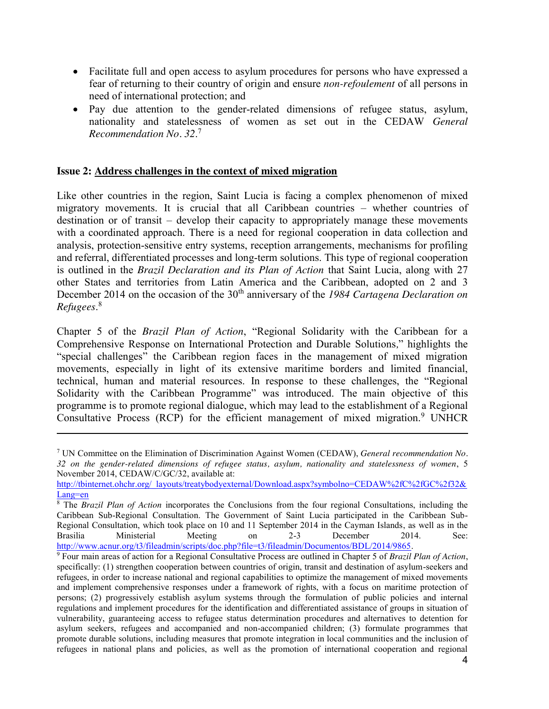- Facilitate full and open access to asylum procedures for persons who have expressed a fear of returning to their country of origin and ensure *non-refoulement* of all persons in need of international protection; and
- Pay due attention to the gender-related dimensions of refugee status, asylum, nationality and statelessness of women as set out in the CEDAW *General Recommendation No. 32*. 7

#### **Issue 2: Address challenges in the context of mixed migration**

-

Like other countries in the region, Saint Lucia is facing a complex phenomenon of mixed migratory movements. It is crucial that all Caribbean countries – whether countries of destination or of transit – develop their capacity to appropriately manage these movements with a coordinated approach. There is a need for regional cooperation in data collection and analysis, protection-sensitive entry systems, reception arrangements, mechanisms for profiling and referral, differentiated processes and long-term solutions. This type of regional cooperation is outlined in the *Brazil Declaration and its Plan of Action* that Saint Lucia, along with 27 other States and territories from Latin America and the Caribbean, adopted on 2 and 3 December 2014 on the occasion of the 30<sup>th</sup> anniversary of the 1984 Cartagena Declaration on *Refugees*. 8

Chapter 5 of the *Brazil Plan of Action*, "Regional Solidarity with the Caribbean for a Comprehensive Response on International Protection and Durable Solutions*,*" highlights the "special challenges" the Caribbean region faces in the management of mixed migration movements, especially in light of its extensive maritime borders and limited financial, technical, human and material resources. In response to these challenges, the "Regional Solidarity with the Caribbean Programme" was introduced. The main objective of this programme is to promote regional dialogue, which may lead to the establishment of a Regional Consultative Process (RCP) for the efficient management of mixed migration.<sup>9</sup> UNHCR

<sup>7</sup> UN Committee on the Elimination of Discrimination Against Women (CEDAW), *General recommendation No. 32 on the gender-related dimensions of refugee status, asylum, nationality and statelessness of women*, 5 November 2014, CEDAW/C/GC/32, available at:

http://tbinternet.ohchr.org/\_layouts/treatybodyexternal/Download.aspx?symbolno=CEDAW%2fC%2fGC%2f32& Lang=en

<sup>8</sup> The *Brazil Plan of Action* incorporates the Conclusions from the four regional Consultations, including the Caribbean Sub-Regional Consultation. The Government of Saint Lucia participated in the Caribbean Sub-Regional Consultation, which took place on 10 and 11 September 2014 in the Cayman Islands, as well as in the Brasilia Ministerial Meeting on 2-3 December 2014. See: http://www.acnur.org/t3/fileadmin/scripts/doc.php?file=t3/fileadmin/Documentos/BDL/2014/9865.

<sup>9</sup> Four main areas of action for a Regional Consultative Process are outlined in Chapter 5 of *Brazil Plan of Action*, specifically: (1) strengthen cooperation between countries of origin, transit and destination of asylum-seekers and refugees, in order to increase national and regional capabilities to optimize the management of mixed movements and implement comprehensive responses under a framework of rights, with a focus on maritime protection of persons; (2) progressively establish asylum systems through the formulation of public policies and internal regulations and implement procedures for the identification and differentiated assistance of groups in situation of vulnerability, guaranteeing access to refugee status determination procedures and alternatives to detention for asylum seekers, refugees and accompanied and non-accompanied children; (3) formulate programmes that promote durable solutions, including measures that promote integration in local communities and the inclusion of refugees in national plans and policies, as well as the promotion of international cooperation and regional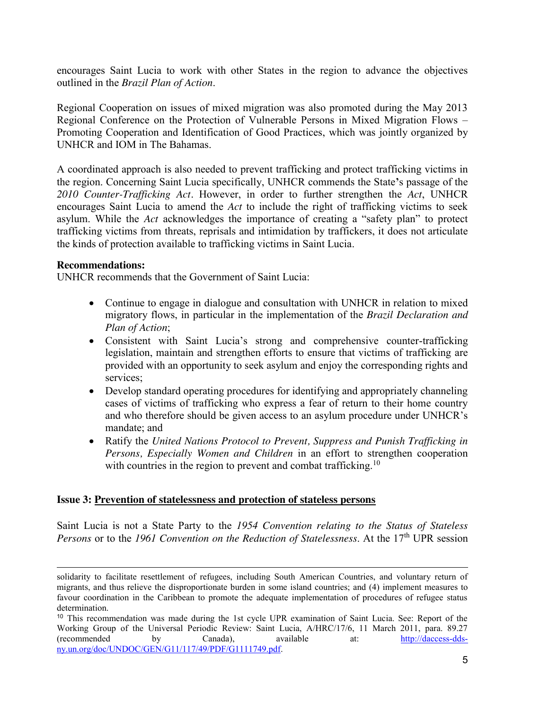encourages Saint Lucia to work with other States in the region to advance the objectives outlined in the *Brazil Plan of Action*.

Regional Cooperation on issues of mixed migration was also promoted during the May 2013 Regional Conference on the Protection of Vulnerable Persons in Mixed Migration Flows – Promoting Cooperation and Identification of Good Practices, which was jointly organized by UNHCR and IOM in The Bahamas.

A coordinated approach is also needed to prevent trafficking and protect trafficking victims in the region. Concerning Saint Lucia specifically, UNHCR commends the State**'**s passage of the *2010 Counter-Trafficking Act.* However, in order to further strengthen the *Act*, UNHCR encourages Saint Lucia to amend the *Act* to include the right of trafficking victims to seek asylum. While the *Act* acknowledges the importance of creating a "safety plan" to protect trafficking victims from threats, reprisals and intimidation by traffickers, it does not articulate the kinds of protection available to trafficking victims in Saint Lucia.

#### **Recommendations:**

-

UNHCR recommends that the Government of Saint Lucia:

- Continue to engage in dialogue and consultation with UNHCR in relation to mixed migratory flows, in particular in the implementation of the *Brazil Declaration and Plan of Action*;
- Consistent with Saint Lucia's strong and comprehensive counter-trafficking legislation, maintain and strengthen efforts to ensure that victims of trafficking are provided with an opportunity to seek asylum and enjoy the corresponding rights and services;
- Develop standard operating procedures for identifying and appropriately channeling cases of victims of trafficking who express a fear of return to their home country and who therefore should be given access to an asylum procedure under UNHCR's mandate; and
- Ratify the *United Nations Protocol to Prevent, Suppress and Punish Trafficking in Persons, Especially Women and Children* in an effort to strengthen cooperation with countries in the region to prevent and combat trafficking.<sup>10</sup>

#### **Issue 3: Prevention of statelessness and protection of stateless persons**

Saint Lucia is not a State Party to the *1954 Convention relating to the Status of Stateless Persons* or to the 1961 Convention on the Reduction of Statelessness. At the 17<sup>th</sup> UPR session

solidarity to facilitate resettlement of refugees, including South American Countries, and voluntary return of migrants, and thus relieve the disproportionate burden in some island countries; and (4) implement measures to favour coordination in the Caribbean to promote the adequate implementation of procedures of refugee status determination.

<sup>10</sup> This recommendation was made during the 1st cycle UPR examination of Saint Lucia. See: Report of the Working Group of the Universal Periodic Review: Saint Lucia, A/HRC/17/6, 11 March 2011, para. 89.27<br>(recommended by Canada). available at: http://daccess-dds-(recommended by Canada), available at: http://daccess-ddsny.un.org/doc/UNDOC/GEN/G11/117/49/PDF/G1111749.pdf.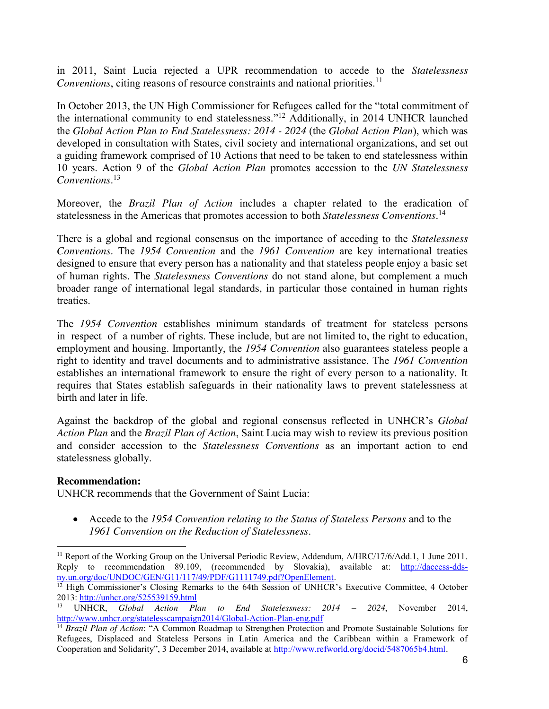in 2011, Saint Lucia rejected a UPR recommendation to accede to the *Statelessness Conventions*, citing reasons of resource constraints and national priorities. 11

In October 2013, the UN High Commissioner for Refugees called for the "total commitment of the international community to end statelessness."<sup>12</sup> Additionally, in 2014 UNHCR launched the *Global Action Plan to End Statelessness: 2014 - 2024* (the *Global Action Plan*), which was developed in consultation with States, civil society and international organizations, and set out a guiding framework comprised of 10 Actions that need to be taken to end statelessness within 10 years. Action 9 of the *Global Action Plan* promotes accession to the *UN Statelessness Conventions*. 13

Moreover, the *Brazil Plan of Action* includes a chapter related to the eradication of statelessness in the Americas that promotes accession to both *Statelessness Conventions*. 14

There is a global and regional consensus on the importance of acceding to the *Statelessness Conventions*. The *1954 Convention* and the *1961 Convention* are key international treaties designed to ensure that every person has a nationality and that stateless people enjoy a basic set of human rights. The *Statelessness Conventions* do not stand alone, but complement a much broader range of international legal standards, in particular those contained in human rights treaties.

The *1954 Convention* establishes minimum standards of treatment for stateless persons in respect of a number of rights. These include, but are not limited to, the right to education, employment and housing. Importantly, the *1954 Convention* also guarantees stateless people a right to identity and travel documents and to administrative assistance. The *1961 Convention* establishes an international framework to ensure the right of every person to a nationality. It requires that States establish safeguards in their nationality laws to prevent statelessness at birth and later in life.

Against the backdrop of the global and regional consensus reflected in UNHCR's *Global Action Plan* and the *Brazil Plan of Action*, Saint Lucia may wish to review its previous position and consider accession to the *Statelessness Conventions* as an important action to end statelessness globally.

#### **Recommendation:**

-

UNHCR recommends that the Government of Saint Lucia:

x Accede to the *1954 Convention relating to the Status of Stateless Persons* and to the *1961 Convention on the Reduction of Statelessness*.

<sup>&</sup>lt;sup>11</sup> Report of the Working Group on the Universal Periodic Review, Addendum, A/HRC/17/6/Add.1, 1 June 2011. Reply to recommendation 89.109, (recommended by Slovakia), available at: http://daccess-dds-<br>ny.un.org/doc/UNDOC/GEN/G11/117/49/PDF/G1111749.pdf?OpenElement.

 $12$  High Commissioner's Closing Remarks to the 64th Session of UNHCR's Executive Committee, 4 October 2013: http://unhcr.org/525539159.html

<sup>13</sup> UNHCR, *Global Action Plan to End Statelessness: 2014 – 2024*, November 2014, http://www.unhcr.org/statelesscampaign2014/Global-Action-Plan-eng.pdf

<sup>14</sup> *Brazil Plan of Action*: "A Common Roadmap to Strengthen Protection and Promote Sustainable Solutions for Refugees, Displaced and Stateless Persons in Latin America and the Caribbean within a Framework of Cooperation and Solidarity", 3 December 2014, available at http://www.refworld.org/docid/5487065b4.html.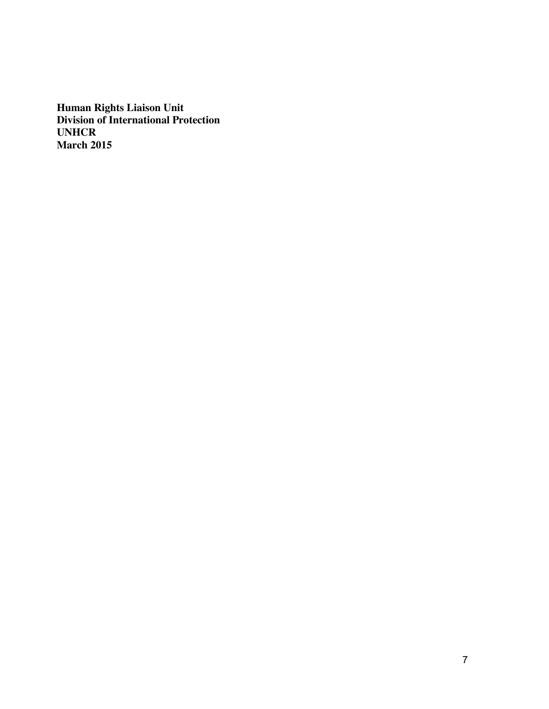**Human Rights Liaison Unit Division of International Protection UNHCR March 2015**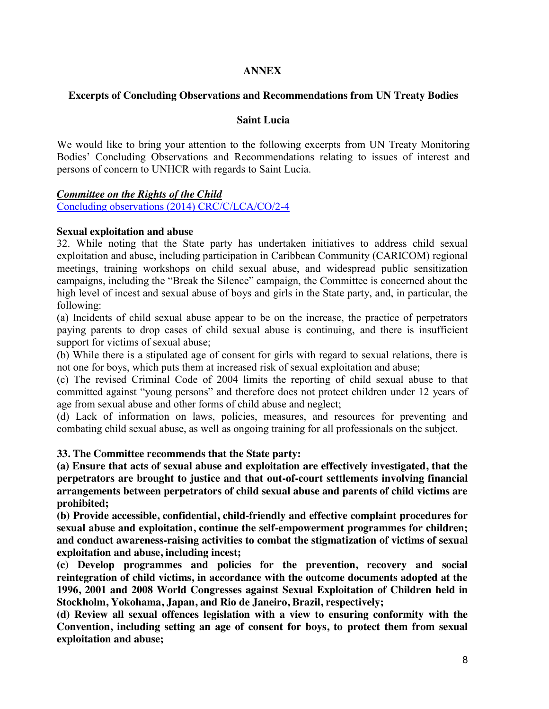### **ANNEX**

### **Excerpts of Concluding Observations and Recommendations from UN Treaty Bodies**

#### **Saint Lucia**

We would like to bring your attention to the following excerpts from UN Treaty Monitoring Bodies' Concluding Observations and Recommendations relating to issues of interest and persons of concern to UNHCR with regards to Saint Lucia.

#### *Committee on the Rights of the Child*

Concluding observations (2014) CRC/C/LCA/CO/2-4

#### **Sexual exploitation and abuse**

32. While noting that the State party has undertaken initiatives to address child sexual exploitation and abuse, including participation in Caribbean Community (CARICOM) regional meetings, training workshops on child sexual abuse, and widespread public sensitization campaigns, including the "Break the Silence" campaign, the Committee is concerned about the high level of incest and sexual abuse of boys and girls in the State party, and, in particular, the following:

(a) Incidents of child sexual abuse appear to be on the increase, the practice of perpetrators paying parents to drop cases of child sexual abuse is continuing, and there is insufficient support for victims of sexual abuse;

(b) While there is a stipulated age of consent for girls with regard to sexual relations, there is not one for boys, which puts them at increased risk of sexual exploitation and abuse;

(c) The revised Criminal Code of 2004 limits the reporting of child sexual abuse to that committed against "young persons" and therefore does not protect children under 12 years of age from sexual abuse and other forms of child abuse and neglect;

(d) Lack of information on laws, policies, measures, and resources for preventing and combating child sexual abuse, as well as ongoing training for all professionals on the subject.

#### **33. The Committee recommends that the State party:**

**(a) Ensure that acts of sexual abuse and exploitation are effectively investigated, that the perpetrators are brought to justice and that out-of-court settlements involving financial arrangements between perpetrators of child sexual abuse and parents of child victims are prohibited;**

**(b) Provide accessible, confidential, child-friendly and effective complaint procedures for sexual abuse and exploitation, continue the self-empowerment programmes for children; and conduct awareness-raising activities to combat the stigmatization of victims of sexual exploitation and abuse, including incest;**

**(c) Develop programmes and policies for the prevention, recovery and social reintegration of child victims, in accordance with the outcome documents adopted at the 1996, 2001 and 2008 World Congresses against Sexual Exploitation of Children held in Stockholm, Yokohama, Japan, and Rio de Janeiro, Brazil, respectively;**

**(d) Review all sexual offences legislation with a view to ensuring conformity with the Convention, including setting an age of consent for boys, to protect them from sexual exploitation and abuse;**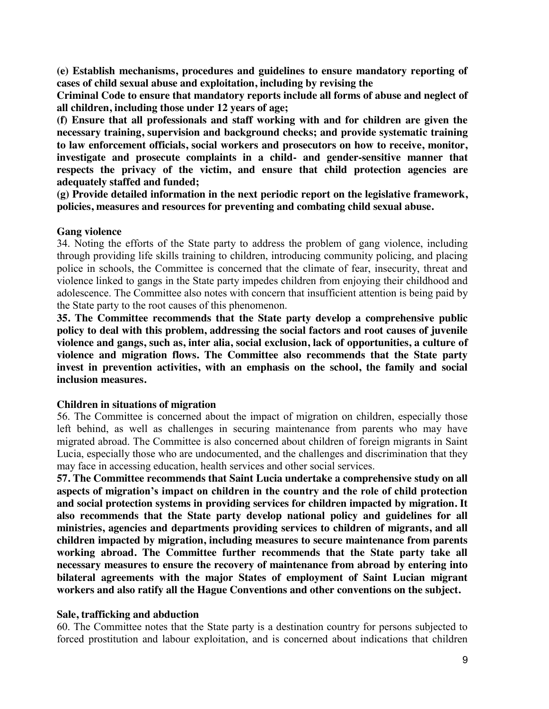**(e) Establish mechanisms, procedures and guidelines to ensure mandatory reporting of cases of child sexual abuse and exploitation, including by revising the**

**Criminal Code to ensure that mandatory reports include all forms of abuse and neglect of all children, including those under 12 years of age;**

**(f) Ensure that all professionals and staff working with and for children are given the necessary training, supervision and background checks; and provide systematic training to law enforcement officials, social workers and prosecutors on how to receive, monitor, investigate and prosecute complaints in a child- and gender-sensitive manner that respects the privacy of the victim, and ensure that child protection agencies are adequately staffed and funded;**

**(g) Provide detailed information in the next periodic report on the legislative framework, policies, measures and resources for preventing and combating child sexual abuse.**

#### **Gang violence**

34. Noting the efforts of the State party to address the problem of gang violence, including through providing life skills training to children, introducing community policing, and placing police in schools, the Committee is concerned that the climate of fear, insecurity, threat and violence linked to gangs in the State party impedes children from enjoying their childhood and adolescence. The Committee also notes with concern that insufficient attention is being paid by the State party to the root causes of this phenomenon.

**35. The Committee recommends that the State party develop a comprehensive public policy to deal with this problem, addressing the social factors and root causes of juvenile violence and gangs, such as, inter alia, social exclusion, lack of opportunities, a culture of violence and migration flows. The Committee also recommends that the State party invest in prevention activities, with an emphasis on the school, the family and social inclusion measures.**

#### **Children in situations of migration**

56. The Committee is concerned about the impact of migration on children, especially those left behind, as well as challenges in securing maintenance from parents who may have migrated abroad. The Committee is also concerned about children of foreign migrants in Saint Lucia, especially those who are undocumented, and the challenges and discrimination that they may face in accessing education, health services and other social services.

**57. The Committee recommends that Saint Lucia undertake a comprehensive study on all aspects of migration's impact on children in the country and the role of child protection and social protection systems in providing services for children impacted by migration. It also recommends that the State party develop national policy and guidelines for all ministries, agencies and departments providing services to children of migrants, and all children impacted by migration, including measures to secure maintenance from parents working abroad. The Committee further recommends that the State party take all necessary measures to ensure the recovery of maintenance from abroad by entering into bilateral agreements with the major States of employment of Saint Lucian migrant workers and also ratify all the Hague Conventions and other conventions on the subject.**

#### **Sale, trafficking and abduction**

60. The Committee notes that the State party is a destination country for persons subjected to forced prostitution and labour exploitation, and is concerned about indications that children